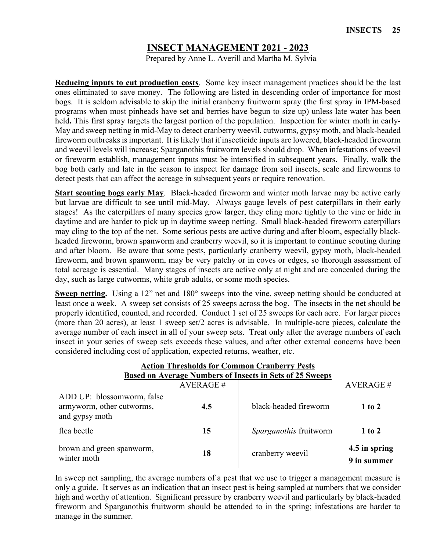# **INSECT MANAGEMENT 2021 - 2023**

Prepared by Anne L. Averill and Martha M. Sylvia

**Reducing inputs to cut production costs**.Some key insect management practices should be the last ones eliminated to save money. The following are listed in descending order of importance for most bogs. It is seldom advisable to skip the initial cranberry fruitworm spray (the first spray in IPM-based programs when most pinheads have set and berries have begun to size up) unless late water has been held. This first spray targets the largest portion of the population. Inspection for winter moth in early-May and sweep netting in mid-May to detect cranberry weevil, cutworms, gypsy moth, and black-headed fireworm outbreaks is important. It is likely that if insecticide inputs are lowered, black-headed fireworm and weevil levels will increase; Sparganothis fruitworm levels should drop. When infestations of weevil or fireworm establish, management inputs must be intensified in subsequent years. Finally, walk the bog both early and late in the season to inspect for damage from soil insects, scale and fireworms to detect pests that can affect the acreage in subsequent years or require renovation.

**Start scouting bogs early May**.Black-headed fireworm and winter moth larvae may be active early but larvae are difficult to see until mid-May. Always gauge levels of pest caterpillars in their early stages! As the caterpillars of many species grow larger, they cling more tightly to the vine or hide in daytime and are harder to pick up in daytime sweep netting. Small black-headed fireworm caterpillars may cling to the top of the net. Some serious pests are active during and after bloom, especially blackheaded fireworm, brown spanworm and cranberry weevil, so it is important to continue scouting during and after bloom. Be aware that some pests, particularly cranberry weevil, gypsy moth, black-headed fireworm, and brown spanworm, may be very patchy or in coves or edges, so thorough assessment of total acreage is essential. Many stages of insects are active only at night and are concealed during the day, such as large cutworms, white grub adults, or some moth species.

**Sweep netting.** Using a 12" net and 180° sweeps into the vine, sweep netting should be conducted at least once a week. A sweep set consists of 25 sweeps across the bog. The insects in the net should be properly identified, counted, and recorded. Conduct 1 set of 25 sweeps for each acre. For larger pieces (more than 20 acres), at least 1 sweep set/2 acres is advisable. In multiple-acre pieces, calculate the average number of each insect in all of your sweep sets. Treat only after the average numbers of each insect in your series of sweep sets exceeds these values, and after other external concerns have been considered including cost of application, expected returns, weather, etc.

| <b>Action Thresholds for Common Cranberry Pests</b><br><b>Based on Average Numbers of Insects in Sets of 25 Sweeps</b> |                 |                        |                              |  |
|------------------------------------------------------------------------------------------------------------------------|-----------------|------------------------|------------------------------|--|
|                                                                                                                        | <b>AVERAGE#</b> |                        | AVERAGE#                     |  |
| ADD UP: blossomworm, false<br>armyworm, other cutworms,<br>and gypsy moth                                              | 4.5             | black-headed fireworm  | $1$ to $2$                   |  |
| flea beetle                                                                                                            | 15              | Sparganothis fruitworm | $1$ to $2$                   |  |
| brown and green spanworm,<br>winter moth                                                                               | 18              | cranberry weevil       | 4.5 in spring<br>9 in summer |  |

In sweep net sampling, the average numbers of a pest that we use to trigger a management measure is only a guide. It serves as an indication that an insect pest is being sampled at numbers that we consider high and worthy of attention. Significant pressure by cranberry weevil and particularly by black-headed fireworm and Sparganothis fruitworm should be attended to in the spring; infestations are harder to manage in the summer.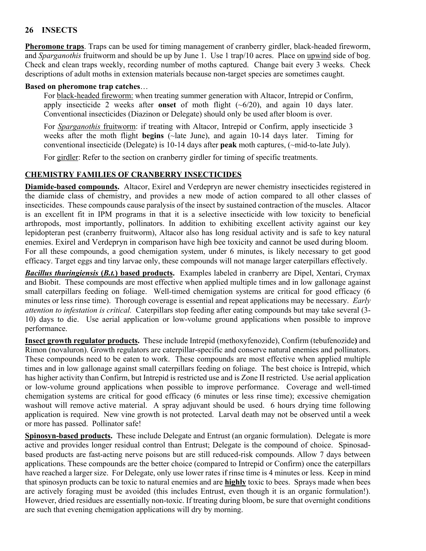# **26 INSECTS**

**Pheromone traps**. Traps can be used for timing management of cranberry girdler, black-headed fireworm, and *Sparganothis* fruitworm and should be up by June 1. Use 1 trap/10 acres. Place on upwind side of bog. Check and clean traps weekly, recording number of moths captured. Change bait every 3 weeks. Check descriptions of adult moths in extension materials because non-target species are sometimes caught.

#### **Based on pheromone trap catches**…

For black-headed fireworm: when treating summer generation with Altacor, Intrepid or Confirm, apply insecticide 2 weeks after **onset** of moth flight (~6/20), and again 10 days later. Conventional insecticides (Diazinon or Delegate) should only be used after bloom is over.

For *Sparganothis* fruitworm: if treating with Altacor, Intrepid or Confirm, apply insecticide 3 weeks after the moth flight **begins** (~late June), and again 10-14 days later. Timing for conventional insecticide (Delegate) is 10-14 days after **peak** moth captures, (~mid-to-late July).

For girdler: Refer to the section on cranberry girdler for timing of specific treatments.

# **CHEMISTRY FAMILIES OF CRANBERRY INSECTICIDES**

**Diamide-based compounds.** Altacor, Exirel and Verdepryn are newer chemistry insecticides registered in the diamide class of chemistry, and provides a new mode of action compared to all other classes of insecticides. These compounds cause paralysis of the insect by sustained contraction of the muscles. Altacor is an excellent fit in IPM programs in that it is a selective insecticide with low toxicity to beneficial arthropods, most importantly, pollinators. In addition to exhibiting excellent activity against our key lepidopteran pest (cranberry fruitworm), Altacor also has long residual activity and is safe to key natural enemies. Exirel and Verdepryn in comparison have high bee toxicity and cannot be used during bloom. For all these compounds, a good chemigation system, under 6 minutes, is likely necessary to get good efficacy. Target eggs and tiny larvae only, these compounds will not manage larger caterpillars effectively.

*Bacillus thuringiensis* **(***B.t.***) based products.** Examples labeled in cranberry are Dipel, Xentari, Crymax and Biobit. These compounds are most effective when applied multiple times and in low gallonage against small caterpillars feeding on foliage. Well-timed chemigation systems are critical for good efficacy (6 minutes or less rinse time). Thorough coverage is essential and repeat applications may be necessary. *Early attention to infestation is critical.* Caterpillars stop feeding after eating compounds but may take several (3- 10) days to die. Use aerial application or low-volume ground applications when possible to improve performance.

**Insect growth regulator products.** These include Intrepid (methoxyfenozide), Confirm (tebufenozide**)** and Rimon (novaluron). Growth regulators are caterpillar-specific and conserve natural enemies and pollinators. These compounds need to be eaten to work. These compounds are most effective when applied multiple times and in low gallonage against small caterpillars feeding on foliage. The best choice is Intrepid, which has higher activity than Confirm, but Intrepid is restricted use and is Zone II restricted. Use aerial application or low-volume ground applications when possible to improve performance. Coverage and well-timed chemigation systems are critical for good efficacy (6 minutes or less rinse time); excessive chemigation washout will remove active material. A spray adjuvant should be used. 6 hours drying time following application is required. New vine growth is not protected. Larval death may not be observed until a week or more has passed. Pollinator safe!

**Spinosyn-based products.** These include Delegate and Entrust (an organic formulation). Delegate is more active and provides longer residual control than Entrust; Delegate is the compound of choice. Spinosadbased products are fast-acting nerve poisons but are still reduced-risk compounds. Allow 7 days between applications. These compounds are the better choice (compared to Intrepid or Confirm) once the caterpillars have reached a larger size. For Delegate, only use lower rates if rinse time is 4 minutes or less. Keep in mind that spinosyn products can be toxic to natural enemies and are **highly** toxic to bees. Sprays made when bees are actively foraging must be avoided (this includes Entrust, even though it is an organic formulation!). However, dried residues are essentially non-toxic. If treating during bloom, be sure that overnight conditions are such that evening chemigation applications will dry by morning.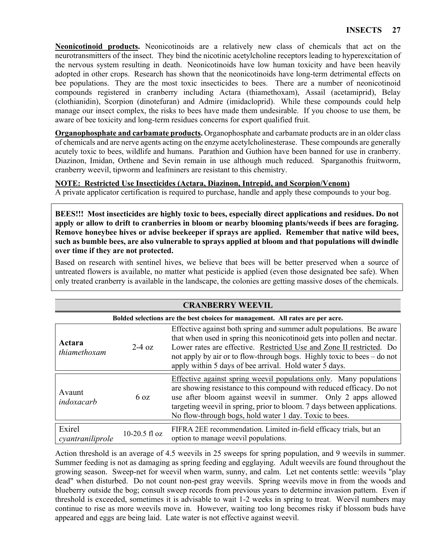**Neonicotinoid products.** Neonicotinoids are a relatively new class of chemicals that act on the neurotransmitters of the insect. They bind the nicotinic acetylcholine receptors leading to hyperexcitation of the nervous system resulting in death. Neonicotinoids have low human toxicity and have been heavily adopted in other crops. Research has shown that the neonicotinoids have long-term detrimental effects on bee populations. They are the most toxic insecticides to bees. There are a number of neonicotinoid compounds registered in cranberry including Actara (thiamethoxam), Assail (acetamiprid), Belay (clothianidin), Scorpion (dinotefuran) and Admire (imidacloprid). While these compounds could help manage our insect complex, the risks to bees have made them undesirable. If you choose to use them, be aware of bee toxicity and long-term residues concerns for export qualified fruit.

**Organophosphate and carbamate products.** Organophosphate and carbamate products are in an older class of chemicals and are nerve agents acting on the enzyme acetylcholinesterase. These compounds are generally acutely toxic to bees, wildlife and humans. Parathion and Guthion have been banned for use in cranberry. Diazinon, Imidan, Orthene and Sevin remain in use although much reduced. Sparganothis fruitworm, cranberry weevil, tipworm and leafminers are resistant to this chemistry.

### **NOTE: Restricted Use Insecticides (Actara, Diazinon, Intrepid, and Scorpion/Venom)**

A private applicator certification is required to purchase, handle and apply these compounds to your bog.

**BEES!!! Most insecticides are highly toxic to bees, especially direct applications and residues. Do not apply or allow to drift to cranberries in bloom or nearby blooming plants/weeds if bees are foraging. Remove honeybee hives or advise beekeeper if sprays are applied. Remember that native wild bees, such as bumble bees, are also vulnerable to sprays applied at bloom and that populations will dwindle over time if they are not protected.**

Based on research with sentinel hives, we believe that bees will be better preserved when a source of untreated flowers is available, no matter what pesticide is applied (even those designated bee safe). When only treated cranberry is available in the landscape, the colonies are getting massive doses of the chemicals.

| <b>CRANBERRY WEEVIL</b>    |                                                                                |                                                                                                                                                                                                                                                                                                                                                               |  |
|----------------------------|--------------------------------------------------------------------------------|---------------------------------------------------------------------------------------------------------------------------------------------------------------------------------------------------------------------------------------------------------------------------------------------------------------------------------------------------------------|--|
|                            | Bolded selections are the best choices for management. All rates are per acre. |                                                                                                                                                                                                                                                                                                                                                               |  |
| Actara<br>thiamethoxam     | $2-4$ oz                                                                       | Effective against both spring and summer adult populations. Be aware<br>that when used in spring this neonicotinoid gets into pollen and nectar.<br>Lower rates are effective. Restricted Use and Zone II restricted. Do<br>not apply by air or to flow-through bogs. Highly toxic to bees – do not<br>apply within 5 days of bee arrival. Hold water 5 days. |  |
| Avaunt<br>indoxacarb       | $6 \text{ oz}$                                                                 | Effective against spring weevil populations only. Many populations<br>are showing resistance to this compound with reduced efficacy. Do not<br>use after bloom against weevil in summer. Only 2 apps allowed<br>targeting weevil in spring, prior to bloom. 7 days between applications.<br>No flow-through bogs, hold water 1 day. Toxic to bees.            |  |
| Exirel<br>cyantraniliprole | $10-20.5$ fl oz                                                                | FIFRA 2EE recommendation. Limited in-field efficacy trials, but an<br>option to manage weevil populations.                                                                                                                                                                                                                                                    |  |

## Action threshold is an average of 4.5 weevils in 25 sweeps for spring population, and 9 weevils in summer. Summer feeding is not as damaging as spring feeding and egglaying. Adult weevils are found throughout the growing season. Sweep-net for weevil when warm, sunny, and calm. Let net contents settle: weevils "play dead" when disturbed. Do not count non-pest gray weevils. Spring weevils move in from the woods and blueberry outside the bog; consult sweep records from previous years to determine invasion pattern. Even if threshold is exceeded, sometimes it is advisable to wait 1-2 weeks in spring to treat. Weevil numbers may continue to rise as more weevils move in. However, waiting too long becomes risky if blossom buds have appeared and eggs are being laid. Late water is not effective against weevil.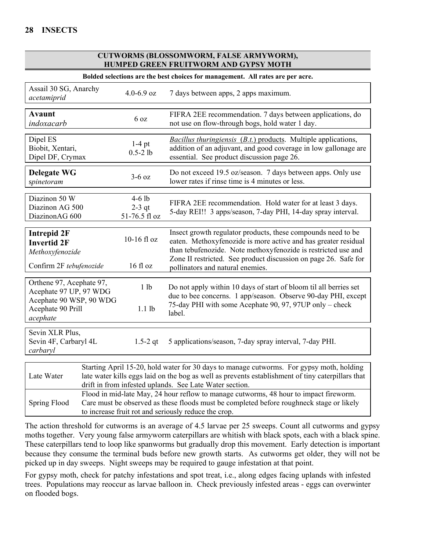#### **CUTWORMS (BLOSSOMWORM, FALSE ARMYWORM), HUMPED GREEN FRUITWORM AND GYPSY MOTH**

| Bolded selections are the best choices for management. All rates are per acre.                                 |                                                                                                                                                                                                                                                          |                                       |                                                                                                                                                                                                                                                                                                        |
|----------------------------------------------------------------------------------------------------------------|----------------------------------------------------------------------------------------------------------------------------------------------------------------------------------------------------------------------------------------------------------|---------------------------------------|--------------------------------------------------------------------------------------------------------------------------------------------------------------------------------------------------------------------------------------------------------------------------------------------------------|
| Assail 30 SG, Anarchy<br>acetamiprid                                                                           |                                                                                                                                                                                                                                                          | 4.0-6.9 oz                            | 7 days between apps, 2 apps maximum.                                                                                                                                                                                                                                                                   |
| <b>Avaunt</b><br>indoxacarb                                                                                    |                                                                                                                                                                                                                                                          | 6 <sub>oz</sub>                       | FIFRA 2EE recommendation. 7 days between applications, do<br>not use on flow-through bogs, hold water 1 day.                                                                                                                                                                                           |
| Dipel ES<br>Biobit, Xentari,<br>Dipel DF, Crymax                                                               |                                                                                                                                                                                                                                                          | $1-4$ pt<br>$0.5 - 2$ lb              | <i>Bacillus thuringiensis</i> $(B.t.)$ products. Multiple applications,<br>addition of an adjuvant, and good coverage in low gallonage are<br>essential. See product discussion page 26.                                                                                                               |
| <b>Delegate WG</b><br>spinetoram                                                                               |                                                                                                                                                                                                                                                          | $3-6$ oz                              | Do not exceed 19.5 oz/season. 7 days between apps. Only use<br>lower rates if rinse time is 4 minutes or less.                                                                                                                                                                                         |
| Diazinon 50 W<br>Diazinon AG 500<br>DiazinonAG 600                                                             |                                                                                                                                                                                                                                                          | $4-6$ lb<br>$2-3$ qt<br>51-76.5 fl oz | FIFRA 2EE recommendation. Hold water for at least 3 days.<br>5-day REI!! 3 apps/season, 7-day PHI, 14-day spray interval.                                                                                                                                                                              |
| <b>Intrepid 2F</b><br><b>Invertid 2F</b><br>Methoxyfenozide<br>Confirm 2F tebufenozide                         |                                                                                                                                                                                                                                                          | 10-16 fl oz<br>16 fl oz               | Insect growth regulator products, these compounds need to be<br>eaten. Methoxyfenozide is more active and has greater residual<br>than tebufenozide. Note methoxyfenozide is restricted use and<br>Zone II restricted. See product discussion on page 26. Safe for<br>pollinators and natural enemies. |
| Orthene 97, Acephate 97,<br>Acephate 97 UP, 97 WDG<br>Acephate 90 WSP, 90 WDG<br>Acephate 90 Prill<br>acephate |                                                                                                                                                                                                                                                          | 1 <sub>1b</sub><br>$1.1$ lb           | Do not apply within 10 days of start of bloom til all berries set<br>due to bee concerns. 1 app/season. Observe 90-day PHI, except<br>75-day PHI with some Acephate 90, 97, 97UP only - check<br>label.                                                                                                |
| Sevin XLR Plus,<br>Sevin 4F, Carbaryl 4L<br>carbaryl                                                           |                                                                                                                                                                                                                                                          | $1.5 - 2$ qt                          | 5 applications/season, 7-day spray interval, 7-day PHI.                                                                                                                                                                                                                                                |
| Late Water                                                                                                     | Starting April 15-20, hold water for 30 days to manage cutworms. For gypsy moth, holding<br>late water kills eggs laid on the bog as well as prevents establishment of tiny caterpillars that<br>drift in from infested uplands. See Late Water section. |                                       |                                                                                                                                                                                                                                                                                                        |
| <b>Spring Flood</b>                                                                                            | Flood in mid-late May, 24 hour reflow to manage cutworms, 48 hour to impact fireworm.<br>Care must be observed as these floods must be completed before roughneck stage or likely<br>to increase fruit rot and seriously reduce the crop.                |                                       |                                                                                                                                                                                                                                                                                                        |

The action threshold for cutworms is an average of 4.5 larvae per 25 sweeps. Count all cutworms and gypsy moths together. Very young false armyworm caterpillars are whitish with black spots, each with a black spine. These caterpillars tend to loop like spanworms but gradually drop this movement. Early detection is important because they consume the terminal buds before new growth starts. As cutworms get older, they will not be picked up in day sweeps. Night sweeps may be required to gauge infestation at that point.

For gypsy moth, check for patchy infestations and spot treat, i.e., along edges facing uplands with infested trees. Populations may reoccur as larvae balloon in. Check previously infested areas - eggs can overwinter on flooded bogs.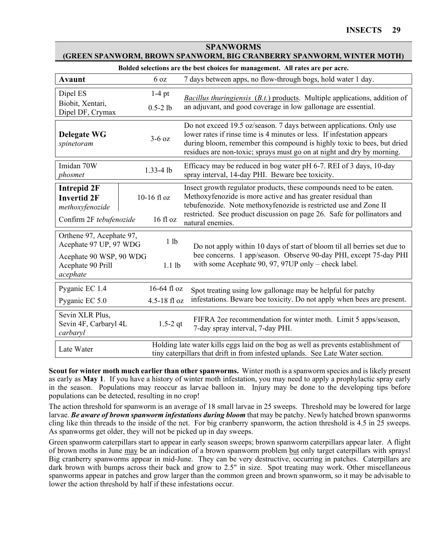| (GREEN SPANWORM, BROWN SPANWORM, BIG CRANBERRY SPANWORM, WINTER MOTH)                                          |                             |                                                                                                                                                                                                                                                                                                        |  |
|----------------------------------------------------------------------------------------------------------------|-----------------------------|--------------------------------------------------------------------------------------------------------------------------------------------------------------------------------------------------------------------------------------------------------------------------------------------------------|--|
| Bolded selections are the best choices for management. All rates are per acre.                                 |                             |                                                                                                                                                                                                                                                                                                        |  |
| <b>Avaunt</b>                                                                                                  | 6 oz                        | 7 days between apps, no flow-through bogs, hold water 1 day.                                                                                                                                                                                                                                           |  |
| Dipel ES                                                                                                       | $1-4$ pt                    | Bacillus thuringiensis $(B.t.)$ products. Multiple applications, addition of                                                                                                                                                                                                                           |  |
| Biobit, Xentari,<br>Dipel DF, Crymax                                                                           | $0.5 - 2 lb$                | an adjuvant, and good coverage in low gallonage are essential.                                                                                                                                                                                                                                         |  |
| <b>Delegate WG</b><br>spinetoram                                                                               | $3-6$ oz                    | Do not exceed 19.5 oz/season. 7 days between applications. Only use<br>lower rates if rinse time is 4 minutes or less. If infestation appears<br>during bloom, remember this compound is highly toxic to bees, but dried<br>residues are non-toxic; sprays must go on at night and dry by morning.     |  |
| Imidan 70W<br>phosmet                                                                                          | 1.33-4 lb                   | Efficacy may be reduced in bog water pH 6-7. REI of 3 days, 10-day<br>spray interval, 14-day PHI. Beware bee toxicity.                                                                                                                                                                                 |  |
| <b>Intrepid 2F</b><br><b>Invertid 2F</b><br>methoxyfenozide<br>Confirm 2F tebufenozide                         | $10-16$ fl oz<br>16 fl oz   | Insect growth regulator products, these compounds need to be eaten.<br>Methoxyfenozide is more active and has greater residual than<br>tebufenozide. Note methoxyfenozide is restricted use and Zone II<br>restricted. See product discussion on page 26. Safe for pollinators and<br>natural enemies. |  |
| Orthene 97, Acephate 97,<br>Acephate 97 UP, 97 WDG<br>Acephate 90 WSP, 90 WDG<br>Acephate 90 Prill<br>acephate | 1 lb<br>$1.1$ lb            | Do not apply within 10 days of start of bloom til all berries set due to<br>bee concerns. 1 app/season. Observe 90-day PHI, except 75-day PHI<br>with some Acephate 90, 97, 97UP only – check label.                                                                                                   |  |
| Pyganic EC 1.4<br>Pyganic EC 5.0                                                                               | 16-64 fl oz<br>4.5-18 fl oz | Spot treating using low gallonage may be helpful for patchy<br>infestations. Beware bee toxicity. Do not apply when bees are present.                                                                                                                                                                  |  |
| Sevin XLR Plus,<br>Sevin 4F, Carbaryl 4L<br>carbaryl                                                           | $1.5 - 2$ qt                | FIFRA 2ee recommendation for winter moth. Limit 5 apps/season,<br>7-day spray interval, 7-day PHI.                                                                                                                                                                                                     |  |
| Late Water                                                                                                     |                             | Holding late water kills eggs laid on the bog as well as prevents establishment of<br>tiny caterpillars that drift in from infested uplands. See Late Water section.                                                                                                                                   |  |

## **SPANWORMS (GREEN SPANWORM, BROWN SPANWORM, BIG CRANBERRY SPANWORM, WINTER MOTH)**

**Scout for winter moth much earlier than other spanworms.** Winter moth is a spanworm species and is likely present as early as **May 1**. If you have a history of winter moth infestation, you may need to apply a prophylactic spray early in the season. Populations may reoccur as larvae balloon in. Injury may be done to the developing tips before populations can be detected, resulting in no crop!

The action threshold for spanworm is an average of 18 small larvae in 25 sweeps. Threshold may be lowered for large larvae. *Be aware of brown spanworm infestations during bloom* that may be patchy. Newly hatched brown spanworms cling like thin threads to the inside of the net. For big cranberry spanworm, the action threshold is 4.5 in 25 sweeps. As spanworms get older, they will not be picked up in day sweeps.

Green spanworm caterpillars start to appear in early season sweeps; brown spanworm caterpillars appear later. A flight of brown moths in June may be an indication of a brown spanworm problem but only target caterpillars with sprays! Big cranberry spanworms appear in mid-June. They can be very destructive, occurring in patches. Caterpillars are dark brown with bumps across their back and grow to 2.5" in size. Spot treating may work. Other miscellaneous spanworms appear in patches and grow larger than the common green and brown spanworm, so it may be advisable to lower the action threshold by half if these infestations occur.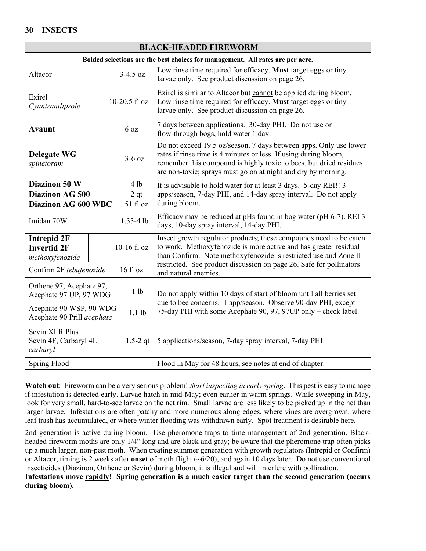| Bolded selections are the best choices for management. All rates are per acre. |                         |                                                                                                                                                                                                                                                                                   |  |
|--------------------------------------------------------------------------------|-------------------------|-----------------------------------------------------------------------------------------------------------------------------------------------------------------------------------------------------------------------------------------------------------------------------------|--|
| Altacor                                                                        | $3-4.5$ oz              | Low rinse time required for efficacy. Must target eggs or tiny<br>larvae only. See product discussion on page 26.                                                                                                                                                                 |  |
| Exirel<br>Cyantraniliprole                                                     | $10-20.5$ fl oz         | Exirel is similar to Altacor but cannot be applied during bloom.<br>Low rinse time required for efficacy. Must target eggs or tiny<br>larvae only. See product discussion on page 26.                                                                                             |  |
| <b>Avaunt</b>                                                                  | 6 <sub>oz</sub>         | 7 days between applications. 30-day PHI. Do not use on<br>flow-through bogs, hold water 1 day.                                                                                                                                                                                    |  |
| <b>Delegate WG</b><br>spinetoram                                               | $3-6$ oz                | Do not exceed 19.5 oz/season. 7 days between apps. Only use lower<br>rates if rinse time is 4 minutes or less. If using during bloom,<br>remember this compound is highly toxic to bees, but dried residues<br>are non-toxic; sprays must go on at night and dry by morning.      |  |
| Diazinon 50 W                                                                  | 4 lb                    | It is advisable to hold water for at least 3 days. 5-day REI!! 3                                                                                                                                                                                                                  |  |
| Diazinon AG 500<br>2 <sub>qt</sub>                                             |                         | apps/season, 7-day PHI, and 14-day spray interval. Do not apply                                                                                                                                                                                                                   |  |
| Diazinon AG 600 WBC                                                            | 51 fl oz                | during bloom.                                                                                                                                                                                                                                                                     |  |
| Imidan 70W                                                                     | $1.33 - 4$ lb           | Efficacy may be reduced at pHs found in bog water (pH 6-7). REI 3<br>days, 10-day spray interval, 14-day PHI.                                                                                                                                                                     |  |
| <b>Intrepid 2F</b><br><b>Invertid 2F</b><br>methoxyfenozide                    | 10-16 fl oz<br>16 fl oz | Insect growth regulator products; these compounds need to be eaten<br>to work. Methoxyfenozide is more active and has greater residual<br>than Confirm. Note methoxyfenozide is restricted use and Zone II<br>restricted. See product discussion on page 26. Safe for pollinators |  |
| Confirm 2F tebufenozide                                                        |                         | and natural enemies.                                                                                                                                                                                                                                                              |  |
| Orthene 97, Acephate 97,<br>Acephate 97 UP, 97 WDG                             | 1 <sub>1</sub> b        | Do not apply within 10 days of start of bloom until all berries set                                                                                                                                                                                                               |  |
| Acephate 90 WSP, 90 WDG<br>Acephate 90 Prill acephate                          | $1.1$ lb                | due to bee concerns. 1 app/season. Observe 90-day PHI, except<br>75-day PHI with some Acephate 90, 97, 97UP only – check label.                                                                                                                                                   |  |
| Sevin XLR Plus<br>Sevin 4F, Carbaryl 4L<br>carbaryl                            | 1.5-2 $qt$              | 5 applications/season, 7-day spray interval, 7-day PHI.                                                                                                                                                                                                                           |  |
| Spring Flood                                                                   |                         | Flood in May for 48 hours, see notes at end of chapter.                                                                                                                                                                                                                           |  |

**Watch out**: Fireworm can be a very serious problem! *Start inspecting in early spring*. This pest is easy to manage if infestation is detected early. Larvae hatch in mid-May; even earlier in warm springs. While sweeping in May, look for very small, hard-to-see larvae on the net rim. Small larvae are less likely to be picked up in the net than larger larvae. Infestations are often patchy and more numerous along edges, where vines are overgrown, where leaf trash has accumulated, or where winter flooding was withdrawn early. Spot treatment is desirable here.

2nd generation is active during bloom. Use pheromone traps to time management of 2nd generation. Blackheaded fireworm moths are only 1/4" long and are black and gray; be aware that the pheromone trap often picks up a much larger, non-pest moth. When treating summer generation with growth regulators (Intrepid or Confirm) or Altacor, timing is 2 weeks after **onset** of moth flight (~6/20), and again 10 days later. Do not use conventional insecticides (Diazinon, Orthene or Sevin) during bloom, it is illegal and will interfere with pollination.

**Infestations move rapidly! Spring generation is a much easier target than the second generation (occurs during bloom).**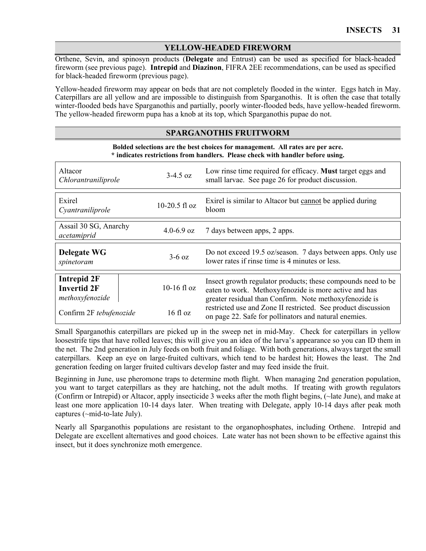# **YELLOW-HEADED FIREWORM**

Orthene, Sevin, and spinosyn products (**Delegate** and Entrust) can be used as specified for black-headed fireworm (see previous page). **Intrepid** and **Diazinon**, FIFRA 2EE recommendations, can be used as specified for black-headed fireworm (previous page).

Yellow-headed fireworm may appear on beds that are not completely flooded in the winter. Eggs hatch in May. Caterpillars are all yellow and are impossible to distinguish from Sparganothis. It is often the case that totally winter-flooded beds have Sparganothis and partially, poorly winter-flooded beds, have yellow-headed fireworm. The yellow-headed fireworm pupa has a knob at its top, which Sparganothis pupae do not.

#### **SPARGANOTHIS FRUITWORM**

**Bolded selections are the best choices for management. All rates are per acre. \* indicates restrictions from handlers. Please check with handler before using.**

| Altacor<br>Chlorantraniliprole                              | $3-4.5$ oz      | Low rinse time required for efficacy. Must target eggs and<br>small larvae. See page 26 for product discussion.                                                                 |
|-------------------------------------------------------------|-----------------|---------------------------------------------------------------------------------------------------------------------------------------------------------------------------------|
| Exirel<br>Cyantraniliprole                                  | $10-20.5$ fl oz | Exirel is similar to Altacor but cannot be applied during<br>bloom                                                                                                              |
| Assail 30 SG, Anarchy<br>acetamiprid                        | 4.0-6.9 oz      | 7 days between apps, 2 apps.                                                                                                                                                    |
| <b>Delegate WG</b><br>spinetoram                            | $3-6$ oz        | Do not exceed 19.5 oz/season. 7 days between apps. Only use<br>lower rates if rinse time is 4 minutes or less.                                                                  |
| <b>Intrepid 2F</b><br><b>Invertid 2F</b><br>methoxyfenozide | $10-16$ fl oz   | Insect growth regulator products; these compounds need to be<br>eaten to work. Methoxyfenozide is more active and has<br>greater residual than Confirm. Note methoxyfenozide is |
| Confirm 2F tebufenozide                                     | $16f$ l oz      | restricted use and Zone II restricted. See product discussion<br>on page 22. Safe for pollinators and natural enemies.                                                          |

Small Sparganothis caterpillars are picked up in the sweep net in mid-May. Check for caterpillars in yellow loosestrife tips that have rolled leaves; this will give you an idea of the larva's appearance so you can ID them in the net. The 2nd generation in July feeds on both fruit and foliage. With both generations, always target the small caterpillars. Keep an eye on large-fruited cultivars, which tend to be hardest hit; Howes the least. The 2nd generation feeding on larger fruited cultivars develop faster and may feed inside the fruit.

Beginning in June, use pheromone traps to determine moth flight. When managing 2nd generation population, you want to target caterpillars as they are hatching, not the adult moths. If treating with growth regulators (Confirm or Intrepid) or Altacor, apply insecticide 3 weeks after the moth flight begins, (~late June), and make at least one more application 10-14 days later. When treating with Delegate, apply 10-14 days after peak moth captures (~mid-to-late July).

Nearly all Sparganothis populations are resistant to the organophosphates, including Orthene. Intrepid and Delegate are excellent alternatives and good choices. Late water has not been shown to be effective against this insect, but it does synchronize moth emergence.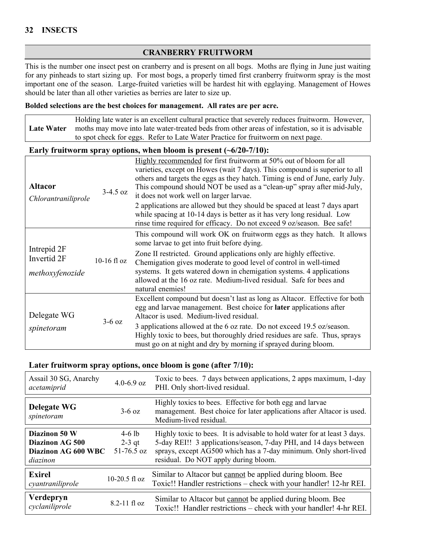## **CRANBERRY FRUITWORM**

This is the number one insect pest on cranberry and is present on all bogs. Moths are flying in June just waiting for any pinheads to start sizing up. For most bogs, a properly timed first cranberry fruitworm spray is the most important one of the season. Large-fruited varieties will be hardest hit with egglaying. Management of Howes should be later than all other varieties as berries are later to size up.

#### **Bolded selections are the best choices for management. All rates are per acre.**

**Late Water** Holding late water is an excellent cultural practice that severely reduces fruitworm. However, moths may move into late water-treated beds from other areas of infestation, so it is advisable to spot check for eggs. Refer to Late Water Practice for fruitworm on next page.

#### **Early fruitworm spray options, when bloom is present (~6/20-7/10):**

| <b>Altacor</b><br>Chlorantraniliprole         | $3-4.5$ oz    | Highly recommended for first fruitworm at 50% out of bloom for all<br>varieties, except on Howes (wait 7 days). This compound is superior to all<br>others and targets the eggs as they hatch. Timing is end of June, early July.<br>This compound should NOT be used as a "clean-up" spray after mid-July,<br>it does not work well on larger larvae.<br>2 applications are allowed but they should be spaced at least 7 days apart<br>while spacing at 10-14 days is better as it has very long residual. Low<br>rinse time required for efficacy. Do not exceed 9 oz/season. Bee safe! |
|-----------------------------------------------|---------------|-------------------------------------------------------------------------------------------------------------------------------------------------------------------------------------------------------------------------------------------------------------------------------------------------------------------------------------------------------------------------------------------------------------------------------------------------------------------------------------------------------------------------------------------------------------------------------------------|
| Intrepid 2F<br>Invertid 2F<br>methoxyfenozide | $10-16$ fl oz | This compound will work OK on fruitworm eggs as they hatch. It allows<br>some larvae to get into fruit before dying.<br>Zone II restricted. Ground applications only are highly effective.<br>Chemigation gives moderate to good level of control in well-timed<br>systems. It gets watered down in chemigation systems. 4 applications<br>allowed at the 16 oz rate. Medium-lived residual. Safe for bees and<br>natural enemies!                                                                                                                                                        |
| Delegate WG<br>spinetoram                     | $3-6$ oz      | Excellent compound but doesn't last as long as Altacor. Effective for both<br>egg and larvae management. Best choice for later applications after<br>Altacor is used. Medium-lived residual.<br>3 applications allowed at the 6 oz rate. Do not exceed 19.5 oz/season.<br>Highly toxic to bees, but thoroughly dried residues are safe. Thus, sprays<br>must go on at night and dry by morning if sprayed during bloom.                                                                                                                                                                   |

#### **Later fruitworm spray options, once bloom is gone (after 7/10):**

| Assail 30 SG, Anarchy<br>acetamiprid                                | $4.0 - 6.9$ oz                       | Toxic to bees. 7 days between applications, 2 apps maximum, 1-day<br>PHI. Only short-lived residual.                                                                                                                                                      |
|---------------------------------------------------------------------|--------------------------------------|-----------------------------------------------------------------------------------------------------------------------------------------------------------------------------------------------------------------------------------------------------------|
| <b>Delegate WG</b><br>spinetoram                                    | $3-6$ oz                             | Highly toxics to bees. Effective for both egg and larvae<br>management. Best choice for later applications after Altacor is used.<br>Medium-lived residual.                                                                                               |
| Diazinon 50 W<br>Diazinon AG 500<br>Diazinon AG 600 WBC<br>diazinon | $4-6$ lb<br>$2-3$ qt<br>$51-76.5$ oz | Highly toxic to bees. It is advisable to hold water for at least 3 days.<br>5-day REI!! 3 applications/season, 7-day PHI, and 14 days between<br>sprays, except AG500 which has a 7-day minimum. Only short-lived<br>residual. Do NOT apply during bloom. |
| <b>Exirel</b><br>cyantraniliprole                                   | 10-20.5 fl $oz$                      | Similar to Altacor but cannot be applied during bloom. Bee<br>Toxic!! Handler restrictions – check with your handler! 12-hr REI.                                                                                                                          |
| Verdepryn<br>cyclaniliprole                                         | 8.2-11 fl oz                         | Similar to Altacor but cannot be applied during bloom. Bee<br>Toxic!! Handler restrictions – check with your handler! 4-hr REI.                                                                                                                           |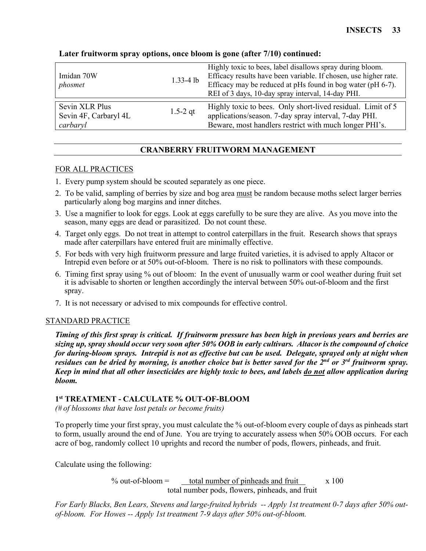| Imidan 70W<br>phosmet                               | $1.33 - 4$ lb | Highly toxic to bees, label disallows spray during bloom.<br>Efficacy results have been variable. If chosen, use higher rate.<br>Efficacy may be reduced at pHs found in bog water (pH 6-7).<br>REI of 3 days, 10-day spray interval, 14-day PHI. |
|-----------------------------------------------------|---------------|---------------------------------------------------------------------------------------------------------------------------------------------------------------------------------------------------------------------------------------------------|
| Sevin XLR Plus<br>Sevin 4F, Carbaryl 4L<br>carbaryl | $1.5 - 2$ qt  | Highly toxic to bees. Only short-lived residual. Limit of 5<br>applications/season. 7-day spray interval, 7-day PHI.<br>Beware, most handlers restrict with much longer PHI's.                                                                    |

# **Later fruitworm spray options, once bloom is gone (after 7/10) continued:**

# **CRANBERRY FRUITWORM MANAGEMENT**

#### FOR ALL PRACTICES

- 1. Every pump system should be scouted separately as one piece.
- 2. To be valid, sampling of berries by size and bog area must be random because moths select larger berries particularly along bog margins and inner ditches.
- 3. Use a magnifier to look for eggs. Look at eggs carefully to be sure they are alive. As you move into the season, many eggs are dead or parasitized. Do not count these.
- 4. Target only eggs. Do not treat in attempt to control caterpillars in the fruit. Research shows that sprays made after caterpillars have entered fruit are minimally effective.
- 5. For beds with very high fruitworm pressure and large fruited varieties, it is advised to apply Altacor or Intrepid even before or at 50% out-of-bloom. There is no risk to pollinators with these compounds.
- 6. Timing first spray using % out of bloom: In the event of unusually warm or cool weather during fruit set it is advisable to shorten or lengthen accordingly the interval between 50% out-of-bloom and the first spray.
- 7. It is not necessary or advised to mix compounds for effective control.

## STANDARD PRACTICE

*Timing of this first spray is critical. If fruitworm pressure has been high in previous years and berries are sizing up, spray should occur very soon after 50% OOB in early cultivars. Altacor is the compound of choice for during-bloom sprays. Intrepid is not as effective but can be used. Delegate, sprayed only at night when residues can be dried by morning, is another choice but is better saved for the 2nd or 3rd fruitworm spray. Keep in mind that all other insecticides are highly toxic to bees, and labels do not allow application during bloom.*

## **1st TREATMENT - CALCULATE % OUT-OF-BLOOM**

*(# of blossoms that have lost petals or become fruits)*

To properly time your first spray, you must calculate the % out-of-bloom every couple of days as pinheads start to form, usually around the end of June. You are trying to accurately assess when 50% OOB occurs. For each acre of bog, randomly collect 10 uprights and record the number of pods, flowers, pinheads, and fruit.

Calculate using the following:

% out-of-bloom = total number of pinheads and fruit  $x 100$ total number pods, flowers, pinheads, and fruit

*For Early Blacks, Ben Lears, Stevens and large-fruited hybrids -- Apply 1st treatment 0-7 days after 50% outof-bloom. For Howes -- Apply 1st treatment 7-9 days after 50% out-of-bloom.*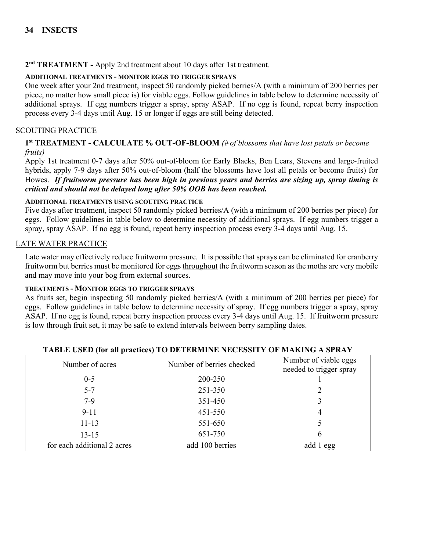# **2nd TREATMENT -** Apply 2nd treatment about 10 days after 1st treatment.

## **ADDITIONAL TREATMENTS - MONITOR EGGS TO TRIGGER SPRAYS**

One week after your 2nd treatment, inspect 50 randomly picked berries/A (with a minimum of 200 berries per piece, no matter how small piece is) for viable eggs. Follow guidelines in table below to determine necessity of additional sprays. If egg numbers trigger a spray, spray ASAP. If no egg is found, repeat berry inspection process every 3-4 days until Aug. 15 or longer if eggs are still being detected.

### SCOUTING PRACTICE

### **1st TREATMENT - CALCULATE % OUT-OF-BLOOM** *(# of blossoms that have lost petals or become fruits)*

Apply 1st treatment 0-7 days after 50% out-of-bloom for Early Blacks, Ben Lears, Stevens and large-fruited hybrids, apply 7-9 days after 50% out-of-bloom (half the blossoms have lost all petals or become fruits) for Howes. *If fruitworm pressure has been high in previous years and berries are sizing up, spray timing is critical and should not be delayed long after 50% OOB has been reached.* 

#### **ADDITIONAL TREATMENTS USING SCOUTING PRACTICE**

Five days after treatment, inspect 50 randomly picked berries/A (with a minimum of 200 berries per piece) for eggs. Follow guidelines in table below to determine necessity of additional sprays. If egg numbers trigger a spray, spray ASAP. If no egg is found, repeat berry inspection process every 3-4 days until Aug. 15.

#### LATE WATER PRACTICE

Late water may effectively reduce fruitworm pressure. It is possible that sprays can be eliminated for cranberry fruitworm but berries must be monitored for eggs throughout the fruitworm season as the moths are very mobile and may move into your bog from external sources.

#### **TREATMENTS - MONITOR EGGS TO TRIGGER SPRAYS**

As fruits set, begin inspecting 50 randomly picked berries/A (with a minimum of 200 berries per piece) for eggs. Follow guidelines in table below to determine necessity of spray. If egg numbers trigger a spray, spray ASAP. If no egg is found, repeat berry inspection process every 3-4 days until Aug. 15. If fruitworm pressure is low through fruit set, it may be safe to extend intervals between berry sampling dates.

| Number of acres             | Number of berries checked | Number of viable eggs<br>needed to trigger spray |
|-----------------------------|---------------------------|--------------------------------------------------|
| $0 - 5$                     | 200-250                   |                                                  |
| $5 - 7$                     | 251-350                   |                                                  |
| $7-9$                       | 351-450                   | 3                                                |
| $9 - 11$                    | 451-550                   | 4                                                |
| $11 - 13$                   | 551-650                   |                                                  |
| $13 - 15$                   | 651-750                   | h                                                |
| for each additional 2 acres | add 100 berries           | add 1 egg                                        |

#### **TABLE USED (for all practices) TO DETERMINE NECESSITY OF MAKING A SPRAY**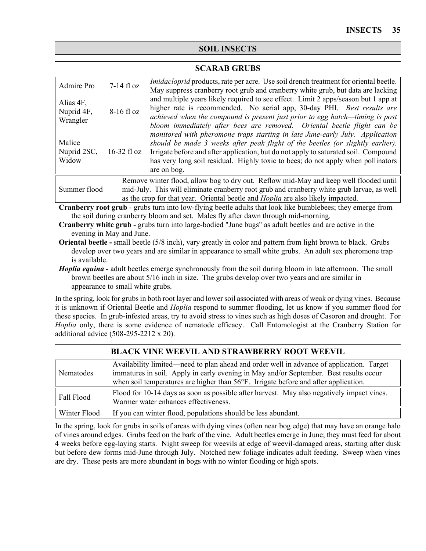# **SOIL INSECTS**

### **SCARAB GRUBS**

| Admire Pro                                                                                                                                                                                                                                                                                    | $7-14$ fl oz  | <i>Imidacloprid</i> products, rate per acre. Use soil drench treatment for oriental beetle.                                                                                                                                                                                                                                                                                                                 |  |
|-----------------------------------------------------------------------------------------------------------------------------------------------------------------------------------------------------------------------------------------------------------------------------------------------|---------------|-------------------------------------------------------------------------------------------------------------------------------------------------------------------------------------------------------------------------------------------------------------------------------------------------------------------------------------------------------------------------------------------------------------|--|
| Alias 4F,<br>Nuprid 4F,<br>Wrangler                                                                                                                                                                                                                                                           | 8-16 fl oz    | May suppress cranberry root grub and cranberry white grub, but data are lacking<br>and multiple years likely required to see effect. Limit 2 apps/season but 1 app at<br>higher rate is recommended. No aerial app, 30-day PHI. Best results are<br>achieved when the compound is present just prior to egg hatch—timing is post<br>bloom immediately after bees are removed. Oriental beetle flight can be |  |
| Malice<br>Nuprid 2SC,<br>Widow                                                                                                                                                                                                                                                                | $16-32$ fl oz | monitored with pheromone traps starting in late June-early July. Application<br>should be made 3 weeks after peak flight of the beetles (or slightly earlier).<br>Irrigate before and after application, but do not apply to saturated soil. Compound<br>has very long soil residual. Highly toxic to bees; do not apply when pollinators<br>are on bog.                                                    |  |
| Remove winter flood, allow bog to dry out. Reflow mid-May and keep well flooded until<br>mid-July. This will eliminate cranberry root grub and cranberry white grub larvae, as well<br>Summer flood<br>as the crop for that year. Oriental beetle and <i>Hoplia</i> are also likely impacted. |               |                                                                                                                                                                                                                                                                                                                                                                                                             |  |
| Cranberry root grub - grubs turn into low-flying beetle adults that look like bumblebees; they emerge from                                                                                                                                                                                    |               |                                                                                                                                                                                                                                                                                                                                                                                                             |  |
|                                                                                                                                                                                                                                                                                               |               | the soil during cranberry bloom and set. Males fly after dawn through mid-morning.                                                                                                                                                                                                                                                                                                                          |  |

**Cranberry white grub -** grubs turn into large-bodied "June bugs" as adult beetles and are active in the evening in May and June.

**Oriental beetle -** small beetle (5/8 inch), vary greatly in color and pattern from light brown to black. Grubs develop over two years and are similar in appearance to small white grubs. An adult sex pheromone trap is available.

*Hoplia equina* **-** adult beetles emerge synchronously from the soil during bloom in late afternoon. The small brown beetles are about 5/16 inch in size. The grubs develop over two years and are similar in appearance to small white grubs.

In the spring, look for grubs in both root layer and lower soil associated with areas of weak or dying vines. Because it is unknown if Oriental Beetle and *Hoplia* respond to summer flooding, let us know if you summer flood for these species. In grub-infested areas, try to avoid stress to vines such as high doses of Casoron and drought. For *Hoplia* only, there is some evidence of nematode efficacy. Call Entomologist at the Cranberry Station for additional advice (508-295-2212 x 20).

| Nematodes    | Availability limited—need to plan ahead and order well in advance of application. Target<br>immatures in soil. Apply in early evening in May and/or September. Best results occur |
|--------------|-----------------------------------------------------------------------------------------------------------------------------------------------------------------------------------|
|              | when soil temperatures are higher than $56^{\circ}$ F. Irrigate before and after application.                                                                                     |
| Fall Flood   | Flood for 10-14 days as soon as possible after harvest. May also negatively impact vines.<br>Warmer water enhances effectiveness.                                                 |
| Winter Flood | If you can winter flood, populations should be less abundant.                                                                                                                     |

#### **BLACK VINE WEEVIL AND STRAWBERRY ROOT WEEVIL**

In the spring, look for grubs in soils of areas with dying vines (often near bog edge) that may have an orange halo of vines around edges. Grubs feed on the bark of the vine. Adult beetles emerge in June; they must feed for about 4 weeks before egg-laying starts. Night sweep for weevils at edge of weevil-damaged areas, starting after dusk but before dew forms mid-June through July. Notched new foliage indicates adult feeding. Sweep when vines are dry. These pests are more abundant in bogs with no winter flooding or high spots.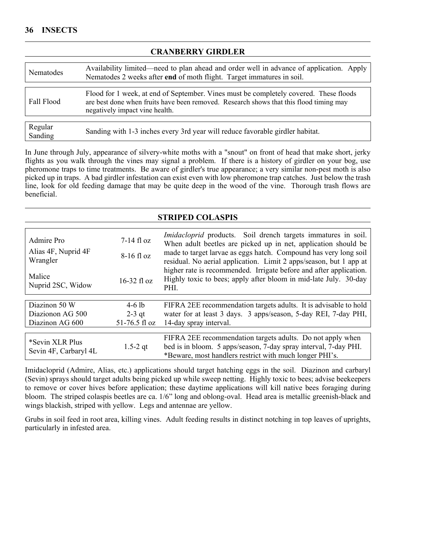#### **CRANBERRY GIRDLER**

| Nematodes          | Availability limited—need to plan ahead and order well in advance of application. Apply<br>Nematodes 2 weeks after end of moth flight. Target immatures in soil.                                                  |  |  |
|--------------------|-------------------------------------------------------------------------------------------------------------------------------------------------------------------------------------------------------------------|--|--|
|                    |                                                                                                                                                                                                                   |  |  |
| Fall Flood         | Flood for 1 week, at end of September. Vines must be completely covered. These floods<br>are best done when fruits have been removed. Research shows that this flood timing may<br>negatively impact vine health. |  |  |
|                    |                                                                                                                                                                                                                   |  |  |
| Regular<br>Sanding | Sanding with 1-3 inches every 3rd year will reduce favorable girdler habitat.                                                                                                                                     |  |  |

In June through July, appearance of silvery-white moths with a "snout" on front of head that make short, jerky flights as you walk through the vines may signal a problem. If there is a history of girdler on your bog, use pheromone traps to time treatments. Be aware of girdler's true appearance; a very similar non-pest moth is also picked up in traps. A bad girdler infestation can exist even with low pheromone trap catches. Just below the trash line, look for old feeding damage that may be quite deep in the wood of the vine. Thorough trash flows are beneficial.

| <b>STRIPED COLASPIS</b>                  |               |                                                                                                                                                                                                                                                                                                                                                                                                                             |  |
|------------------------------------------|---------------|-----------------------------------------------------------------------------------------------------------------------------------------------------------------------------------------------------------------------------------------------------------------------------------------------------------------------------------------------------------------------------------------------------------------------------|--|
|                                          |               |                                                                                                                                                                                                                                                                                                                                                                                                                             |  |
| Admire Pro                               | $7-14$ fl oz  | Imidacloprid products. Soil drench targets immatures in soil.<br>When adult beetles are picked up in net, application should be<br>made to target larvae as eggs hatch. Compound has very long soil<br>residual. No aerial application. Limit 2 apps/season, but 1 app at<br>higher rate is recommended. Irrigate before and after application.<br>Highly toxic to bees; apply after bloom in mid-late July. 30-day<br>PHI. |  |
| Alias 4F, Nuprid 4F<br>Wrangler          | $8-16$ fl oz  |                                                                                                                                                                                                                                                                                                                                                                                                                             |  |
| Malice<br>Nuprid 2SC, Widow              | $16-32$ fl oz |                                                                                                                                                                                                                                                                                                                                                                                                                             |  |
| Diazinon 50 W                            |               |                                                                                                                                                                                                                                                                                                                                                                                                                             |  |
|                                          | $4-6$ lb      | FIFRA 2EE recommendation targets adults. It is advisable to hold                                                                                                                                                                                                                                                                                                                                                            |  |
| Diazionon AG 500                         | $2-3$ qt      | water for at least 3 days. 3 apps/season, 5-day REI, 7-day PHI,                                                                                                                                                                                                                                                                                                                                                             |  |
| Diazinon AG 600                          | 51-76.5 fl oz | 14-day spray interval.                                                                                                                                                                                                                                                                                                                                                                                                      |  |
| *Sevin XLR Plus<br>Sevin 4F, Carbaryl 4L | $1.5 - 2$ qt  | FIFRA 2EE recommendation targets adults. Do not apply when<br>bed is in bloom. 5 apps/season, 7-day spray interval, 7-day PHI.<br>*Beware, most handlers restrict with much longer PHI's.                                                                                                                                                                                                                                   |  |

Imidacloprid (Admire, Alias, etc.) applications should target hatching eggs in the soil. Diazinon and carbaryl (Sevin) sprays should target adults being picked up while sweep netting. Highly toxic to bees; advise beekeepers to remove or cover hives before application; these daytime applications will kill native bees foraging during bloom. The striped colaspis beetles are ca. 1/6" long and oblong-oval. Head area is metallic greenish-black and wings blackish, striped with yellow. Legs and antennae are yellow.

Grubs in soil feed in root area, killing vines. Adult feeding results in distinct notching in top leaves of uprights, particularly in infested area.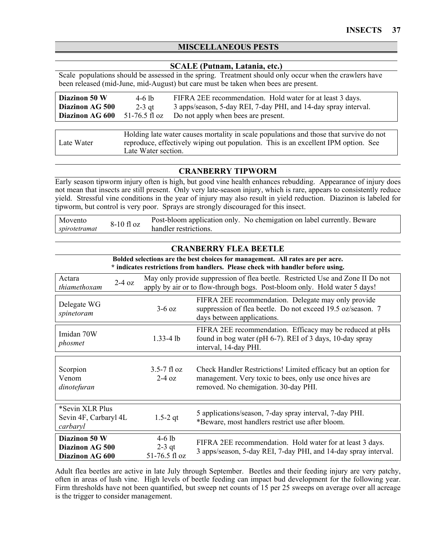# **MISCELLANEOUS PESTS**

#### **SCALE (Putnam, Latania, etc.)**

Scale populations should be assessed in the spring. Treatment should only occur when the crawlers have been released (mid-June, mid-August) but care must be taken when bees are present.

| Diazinon 50 W<br>Diazinon AG 500<br>Diazinon AG 600 | 4-6 lb<br>2-3 gt<br>51-76.5 fl oz                                                                                                                                            | FIFRA 2EE recommendation. Hold water for at least 3 days.<br>3 apps/season, 5-day REI, 7-day PHI, and 14-day spray interval.<br>Do not apply when bees are present. |
|-----------------------------------------------------|------------------------------------------------------------------------------------------------------------------------------------------------------------------------------|---------------------------------------------------------------------------------------------------------------------------------------------------------------------|
|                                                     |                                                                                                                                                                              |                                                                                                                                                                     |
| Late Water                                          | Holding late water causes mortality in scale populations and those that survive do not<br>reproduce, effectively wiping out population. This is an excellent IPM option. See |                                                                                                                                                                     |

Late Water section.

#### **CRANBERRY TIPWORM**

Early season tipworm injury often is high, but good vine health enhances rebudding. Appearance of injury does not mean that insects are still present. Only very late-season injury, which is rare, appears to consistently reduce yield. Stressful vine conditions in the year of injury may also result in yield reduction. Diazinon is labeled for tipworm, but control is very poor. Sprays are strongly discouraged for this insect.

| Movento       | 8-10 fl oz | Post-bloom application only. No chemigation on label currently. Beware |  |
|---------------|------------|------------------------------------------------------------------------|--|
| spirotetramat |            | handler restrictions.                                                  |  |

| <b>CRANBERRY FLEA BEETLE</b>                                                                                                                                      |                                       |                                                                                                                                                                   |  |  |
|-------------------------------------------------------------------------------------------------------------------------------------------------------------------|---------------------------------------|-------------------------------------------------------------------------------------------------------------------------------------------------------------------|--|--|
| Bolded selections are the best choices for management. All rates are per acre.<br>* indicates restrictions from handlers. Please check with handler before using. |                                       |                                                                                                                                                                   |  |  |
| Actara<br>$2-4$ oz<br>thiamethoxam                                                                                                                                |                                       | May only provide suppression of flea beetle. Restricted Use and Zone II Do not<br>apply by air or to flow-through bogs. Post-bloom only. Hold water 5 days!       |  |  |
| Delegate WG<br>spinetoram                                                                                                                                         | $3-6$ oz                              | FIFRA 2EE recommendation. Delegate may only provide<br>suppression of flea beetle. Do not exceed 19.5 oz/season. 7<br>days between applications.                  |  |  |
| Imidan 70W<br>phosmet                                                                                                                                             | $1.33 - 4$ lb                         | FIFRA 2EE recommendation. Efficacy may be reduced at pHs<br>found in bog water (pH 6-7). REI of 3 days, 10-day spray<br>interval, 14-day PHI.                     |  |  |
| Scorpion<br>Venom<br>dinotefuran                                                                                                                                  | $3.5 - 7$ fl oz<br>$2-4$ oz           | Check Handler Restrictions! Limited efficacy but an option for<br>management. Very toxic to bees, only use once hives are<br>removed. No chemigation. 30-day PHI. |  |  |
| *Sevin XLR Plus<br>Sevin 4F, Carbaryl 4L<br>carbaryl                                                                                                              | $1.5 - 2$ qt                          | 5 applications/season, 7-day spray interval, 7-day PHI.<br>*Beware, most handlers restrict use after bloom.                                                       |  |  |
| Diazinon 50 W<br>Diazinon AG 500<br>Diazinon AG 600                                                                                                               | $4-6$ lb<br>$2-3$ qt<br>51-76.5 fl oz | FIFRA 2EE recommendation. Hold water for at least 3 days.<br>3 apps/season, 5-day REI, 7-day PHI, and 14-day spray interval.                                      |  |  |

Adult flea beetles are active in late July through September. Beetles and their feeding injury are very patchy, often in areas of lush vine. High levels of beetle feeding can impact bud development for the following year. Firm thresholds have not been quantified, but sweep net counts of 15 per 25 sweeps on average over all acreage is the trigger to consider management.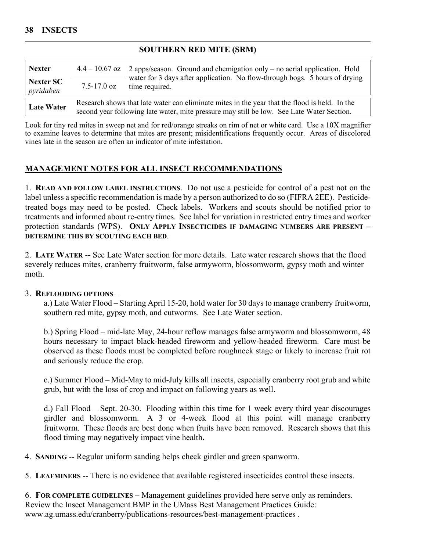## **SOUTHERN RED MITE (SRM)**

| <b>Nexter</b>          |                                                                                                                                                                                            | $4.4 - 10.67$ oz 2 apps/season. Ground and chemigation only – no aerial application. Hold     |  |
|------------------------|--------------------------------------------------------------------------------------------------------------------------------------------------------------------------------------------|-----------------------------------------------------------------------------------------------|--|
| Nexter SC<br>pyridaben | $7.5 - 17.0$ oz                                                                                                                                                                            | water for 3 days after application. No flow-through bogs. 5 hours of drying<br>time required. |  |
| <b>Late Water</b>      | Research shows that late water can eliminate mites in the year that the flood is held. In the<br>second year following late water, mite pressure may still be low. See Late Water Section. |                                                                                               |  |

Look for tiny red mites in sweep net and for red/orange streaks on rim of net or white card. Use a 10X magnifier to examine leaves to determine that mites are present; misidentifications frequently occur. Areas of discolored vines late in the season are often an indicator of mite infestation.

# **MANAGEMENT NOTES FOR ALL INSECT RECOMMENDATIONS**

1. **READ AND FOLLOW LABEL INSTRUCTIONS**. Do not use a pesticide for control of a pest not on the label unless a specific recommendation is made by a person authorized to do so (FIFRA 2EE). Pesticidetreated bogs may need to be posted. Check labels. Workers and scouts should be notified prior to treatments and informed about re-entry times. See label for variation in restricted entry times and worker protection standards (WPS). **ONLY APPLY INSECTICIDES IF DAMAGING NUMBERS ARE PRESENT – DETERMINE THIS BY SCOUTING EACH BED**.

2. **LATE WATER** -- See Late Water section for more details. Late water research shows that the flood severely reduces mites, cranberry fruitworm, false armyworm, blossomworm, gypsy moth and winter moth.

## 3. **REFLOODING OPTIONS** –

a.) Late Water Flood – Starting April 15-20, hold water for 30 days to manage cranberry fruitworm, southern red mite, gypsy moth, and cutworms. See Late Water section.

b.) Spring Flood – mid-late May, 24-hour reflow manages false armyworm and blossomworm, 48 hours necessary to impact black-headed fireworm and yellow-headed fireworm. Care must be observed as these floods must be completed before roughneck stage or likely to increase fruit rot and seriously reduce the crop.

c.) Summer Flood – Mid-May to mid-July kills all insects, especially cranberry root grub and white grub, but with the loss of crop and impact on following years as well.

d.) Fall Flood – Sept. 20-30. Flooding within this time for 1 week every third year discourages girdler and blossomworm. A 3 or 4-week flood at this point will manage cranberry fruitworm. These floods are best done when fruits have been removed. Research shows that this flood timing may negatively impact vine health**.**

4. **SANDING** -- Regular uniform sanding helps check girdler and green spanworm.

5. **LEAFMINERS** -- There is no evidence that available registered insecticides control these insects.

6. **FOR COMPLETE GUIDELINES** – Management guidelines provided here serve only as reminders. Review the Insect Management BMP in the UMass Best Management Practices Guide: [www.ag.umass.edu/cranberry/publications-resources/best-management-practices](http://www.ag.umass.edu/cranberry/publications-resources/best-management-practices) .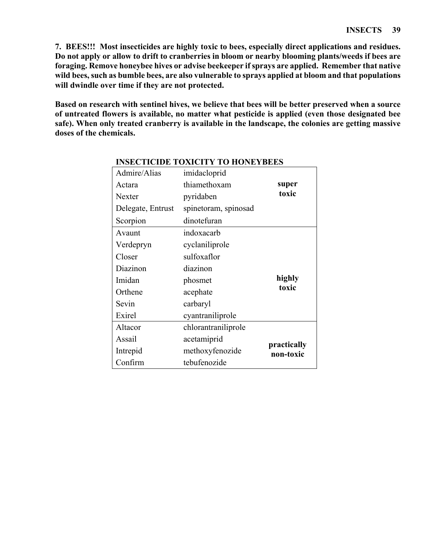**7. BEES!!! Most insecticides are highly toxic to bees, especially direct applications and residues. Do not apply or allow to drift to cranberries in bloom or nearby blooming plants/weeds if bees are foraging. Remove honeybee hives or advise beekeeper if sprays are applied. Remember that native wild bees, such as bumble bees, are also vulnerable to sprays applied at bloom and that populations will dwindle over time if they are not protected.** 

**Based on research with sentinel hives, we believe that bees will be better preserved when a source of untreated flowers is available, no matter what pesticide is applied (even those designated bee safe). When only treated cranberry is available in the landscape, the colonies are getting massive doses of the chemicals.**

| Admire/Alias      | imidacloprid         |             |
|-------------------|----------------------|-------------|
| Actara            | thiamethoxam         | super       |
| Nexter            | pyridaben            | toxic       |
| Delegate, Entrust | spinetoram, spinosad |             |
| Scorpion          | dinotefuran          |             |
| Avaunt            | indoxacarb           |             |
| Verdepryn         | cyclaniliprole       |             |
| Closer            | sulfoxaflor          |             |
| Diazinon          | diazinon             |             |
| Imidan            | phosmet              | highly      |
| Orthene           | acephate             | toxic       |
| Sevin             | carbaryl             |             |
| Exirel            | cyantraniliprole     |             |
| Altacor           | chlorantraniliprole  |             |
| Assail            | acetamiprid          | practically |
| Intrepid          | methoxyfenozide      | non-toxic   |
| Confirm           | tebufenozide         |             |

#### **INSECTICIDE TOXICITY TO HONEYBEES**